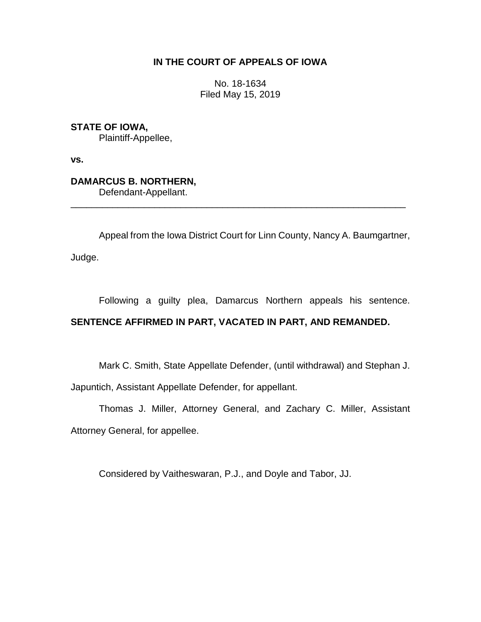## **IN THE COURT OF APPEALS OF IOWA**

No. 18-1634 Filed May 15, 2019

**STATE OF IOWA,** Plaintiff-Appellee,

**vs.**

**DAMARCUS B. NORTHERN,** Defendant-Appellant.

Appeal from the Iowa District Court for Linn County, Nancy A. Baumgartner,

\_\_\_\_\_\_\_\_\_\_\_\_\_\_\_\_\_\_\_\_\_\_\_\_\_\_\_\_\_\_\_\_\_\_\_\_\_\_\_\_\_\_\_\_\_\_\_\_\_\_\_\_\_\_\_\_\_\_\_\_\_\_\_\_

Judge.

Following a guilty plea, Damarcus Northern appeals his sentence.

## **SENTENCE AFFIRMED IN PART, VACATED IN PART, AND REMANDED.**

Mark C. Smith, State Appellate Defender, (until withdrawal) and Stephan J.

Japuntich, Assistant Appellate Defender, for appellant.

Thomas J. Miller, Attorney General, and Zachary C. Miller, Assistant Attorney General, for appellee.

Considered by Vaitheswaran, P.J., and Doyle and Tabor, JJ.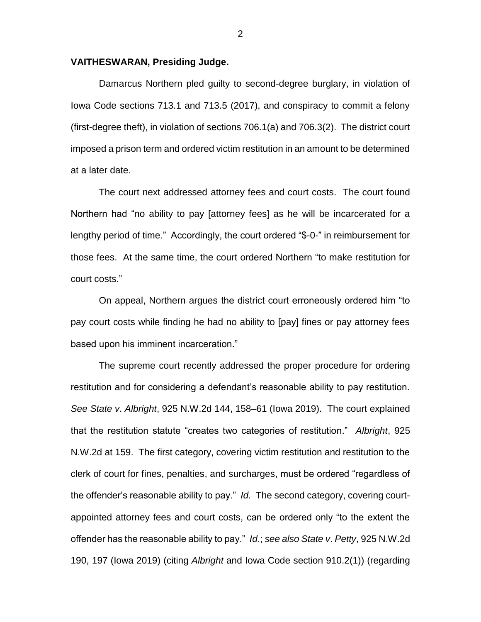## **VAITHESWARAN, Presiding Judge.**

Damarcus Northern pled guilty to second-degree burglary, in violation of Iowa Code sections 713.1 and 713.5 (2017), and conspiracy to commit a felony (first-degree theft), in violation of sections 706.1(a) and 706.3(2). The district court imposed a prison term and ordered victim restitution in an amount to be determined at a later date.

The court next addressed attorney fees and court costs. The court found Northern had "no ability to pay [attorney fees] as he will be incarcerated for a lengthy period of time." Accordingly, the court ordered "\$-0-" in reimbursement for those fees. At the same time, the court ordered Northern "to make restitution for court costs."

On appeal, Northern argues the district court erroneously ordered him "to pay court costs while finding he had no ability to [pay] fines or pay attorney fees based upon his imminent incarceration."

The supreme court recently addressed the proper procedure for ordering restitution and for considering a defendant's reasonable ability to pay restitution. *See State v*. *Albright*, 925 N.W.2d 144, 158–61 (Iowa 2019). The court explained that the restitution statute "creates two categories of restitution." *Albright*, 925 N.W.2d at 159. The first category, covering victim restitution and restitution to the clerk of court for fines, penalties, and surcharges, must be ordered "regardless of the offender's reasonable ability to pay." *Id.* The second category, covering courtappointed attorney fees and court costs, can be ordered only "to the extent the offender has the reasonable ability to pay." *Id*.; *see also State v*. *Petty*, 925 N.W.2d 190, 197 (Iowa 2019) (citing *Albright* and Iowa Code section 910.2(1)) (regarding